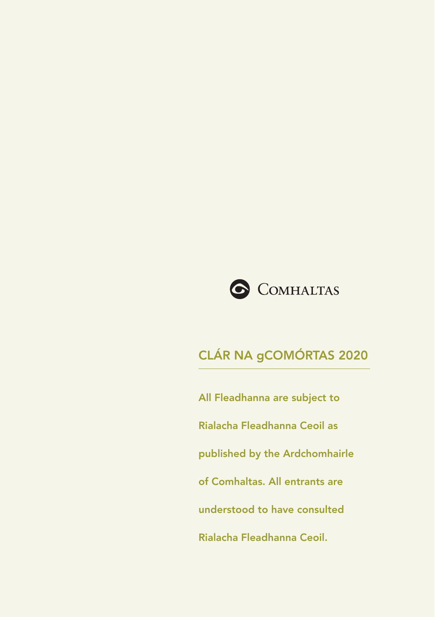

All Fleadhanna are subject to Rialacha Fleadhanna Ceoil as published by the Ardchomhairle of Comhaltas. All entrants are understood to have consulted Rialacha Fleadhanna Ceoil.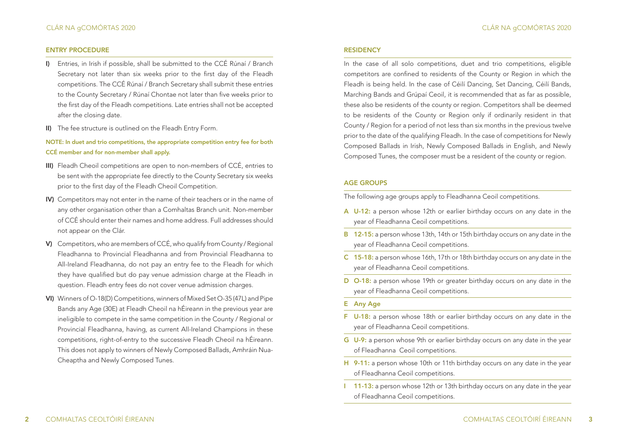#### ENTRY PROCEDURE

- I) Entries, in Irish if possible, shall be submitted to the CCÉ Rúnaí / Branch Secretary not later than six weeks prior to the first day of the Fleadh competitions. The CCÉ Rúnaí / Branch Secretary shall submit these entries to the County Secretary / Rúnaí Chontae not later than five weeks prior to the first day of the Fleadh competitions. Late entries shall not be accepted after the closing date.
- II) The fee structure is outlined on the Fleadh Entry Form.

NOTE: In duet and trio competitions, the appropriate competition entry fee for both CCÉ member and for non-member shall apply.

- III) Fleadh Cheoil competitions are open to non-members of CCÉ, entries to be sent with the appropriate fee directly to the County Secretary six weeks prior to the first day of the Fleadh Cheoil Competition.
- IV) Competitors may not enter in the name of their teachers or in the name of any other organisation other than a Comhaltas Branch unit. Non-member of CCÉ should enter their names and home address. Full addresses should not appear on the Clár.
- V) Competitors, who are members of CCÉ, who qualify from County / Regional Fleadhanna to Provincial Fleadhanna and from Provincial Fleadhanna to All-Ireland Fleadhanna, do not pay an entry fee to the Fleadh for which they have qualified but do pay venue admission charge at the Fleadh in question. Fleadh entry fees do not cover venue admission charges.
- VI) Winners of O-18(D) Competitions, winners of Mixed Set O-35 (47L) and Pipe Bands any Age (30E) at Fleadh Cheoil na hÉireann in the previous year are ineligible to compete in the same competition in the County / Regional or Provincial Fleadhanna, having, as current All-Ireland Champions in these competitions, right-of-entry to the successive Fleadh Cheoil na hÉireann. This does not apply to winners of Newly Composed Ballads, Amhráin Nua-Cheaptha and Newly Composed Tunes.

#### **RESIDENCY**

In the case of all solo competitions, duet and trio competitions, eligible competitors are confined to residents of the County or Region in which the Fleadh is being held. In the case of Céilí Dancing, Set Dancing, Céilí Bands, Marching Bands and Grúpaí Ceoil, it is recommended that as far as possible, these also be residents of the county or region. Competitors shall be deemed to be residents of the County or Region only if ordinarily resident in that County / Region for a period of not less than six months in the previous twelve prior to the date of the qualifying Fleadh. In the case of competitions for Newly Composed Ballads in Irish, Newly Composed Ballads in English, and Newly Composed Tunes, the composer must be a resident of the county or region.

#### AGE GROUPS

The following age groups apply to Fleadhanna Ceoil competitions.

- A U-12: a person whose 12th or earlier birthday occurs on any date in the year of Fleadhanna Ceoil competitions.
- B 12-15: a person whose 13th, 14th or 15th birthday occurs on any date in the year of Fleadhanna Ceoil competitions.
- C 15-18: a person whose 16th, 17th or 18th birthday occurs on any date in the year of Fleadhanna Ceoil competitions.
- D O-18: a person whose 19th or greater birthday occurs on any date in the year of Fleadhanna Ceoil competitions.
- E Any Age
- F U-18: a person whose 18th or earlier birthday occurs on any date in the year of Fleadhanna Ceoil competitions.
- G U-9: a person whose 9th or earlier birthday occurs on any date in the year of Fleadhanna Ceoil competitions.
- H 9-11: a person whose 10th or 11th birthday occurs on any date in the year of Fleadhanna Ceoil competitions.
- I 11-13: a person whose 12th or 13th birthday occurs on any date in the year of Fleadhanna Ceoil competitions.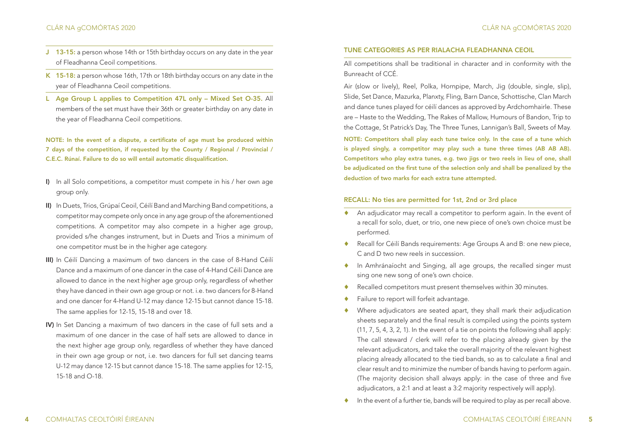- J 13-15: a person whose 14th or 15th birthday occurs on any date in the year of Fleadhanna Ceoil competitions.
- K 15-18: a person whose 16th, 17th or 18th birthday occurs on any date in the year of Fleadhanna Ceoil competitions.
- L Age Group L applies to Competition 47L only Mixed Set O-35. All members of the set must have their 36th or greater birthday on any date in the year of Fleadhanna Ceoil competitions.

NOTE: In the event of a dispute, a certificate of age must be produced within 7 days of the competition, if requested by the County / Regional / Provincial / C.E.C. Rúnaí. Failure to do so will entail automatic disqualification.

- I) In all Solo competitions, a competitor must compete in his / her own age group only.
- II) In Duets, Trios, Grúpaí Ceoil, Céilí Band and Marching Band competitions, a competitor may compete only once in any age group of the aforementioned competitions. A competitor may also compete in a higher age group, provided s/he changes instrument, but in Duets and Trios a minimum of one competitor must be in the higher age category.
- III) In Céilí Dancing a maximum of two dancers in the case of 8-Hand Céilí Dance and a maximum of one dancer in the case of 4-Hand Céilí Dance are allowed to dance in the next higher age group only, regardless of whether they have danced in their own age group or not. i.e. two dancers for 8-Hand and one dancer for 4-Hand U-12 may dance 12-15 but cannot dance 15-18. The same applies for 12-15, 15-18 and over 18.
- IV) In Set Dancing a maximum of two dancers in the case of full sets and a maximum of one dancer in the case of half sets are allowed to dance in the next higher age group only, regardless of whether they have danced in their own age group or not, i.e. two dancers for full set dancing teams U-12 may dance 12-15 but cannot dance 15-18. The same applies for 12-15, 15-18 and O-18.

#### TUNE CATEGORIES AS PER RIALACHA FLEADHANNA CEOIL

All competitions shall be traditional in character and in conformity with the Bunreacht of CCÉ.

Air (slow or lively), Reel, Polka, Hornpipe, March, Jig (double, single, slip), Slide, Set Dance, Mazurka, Planxty, Fling, Barn Dance, Schottische, Clan March and dance tunes played for céilí dances as approved by Ardchomhairle. These are – Haste to the Wedding, The Rakes of Mallow, Humours of Bandon, Trip to the Cottage, St Patrick's Day, The Three Tunes, Lannigan's Ball, Sweets of May.

NOTE: Competitors shall play each tune twice only. In the case of a tune which is played singly, a competitor may play such a tune three times (AB AB AB). Competitors who play extra tunes, e.g. two jigs or two reels in lieu of one, shall be adjudicated on the first tune of the selection only and shall be penalized by the deduction of two marks for each extra tune attempted.

### RECALL: No ties are permitted for 1st, 2nd or 3rd place

- ♦ An adjudicator may recall a competitor to perform again. In the event of a recall for solo, duet, or trio, one new piece of one's own choice must be performed.
- ♦ Recall for Céilí Bands requirements: Age Groups A and B: one new piece, C and D two new reek in succession
- ♦ In Amhránaíocht and Singing, all age groups, the recalled singer must sing one new song of one's own choice.
- Recalled competitors must present themselves within 30 minutes.
- Failure to report will forfeit advantage.
- Where adjudicators are seated apart, they shall mark their adjudication sheets separately and the final result is compiled using the points system (11, 7, 5, 4, 3, 2, 1). In the event of a tie on points the following shall apply: The call steward / clerk will refer to the placing already given by the relevant adjudicators, and take the overall majority of the relevant highest placing already allocated to the tied bands, so as to calculate a final and clear result and to minimize the number of bands having to perform again. (The majority decision shall always apply: in the case of three and five adjudicators, a 2:1 and at least a 3:2 majority respectively will apply).
- ♦ In the event of a further tie, bands will be required to play as per recall above.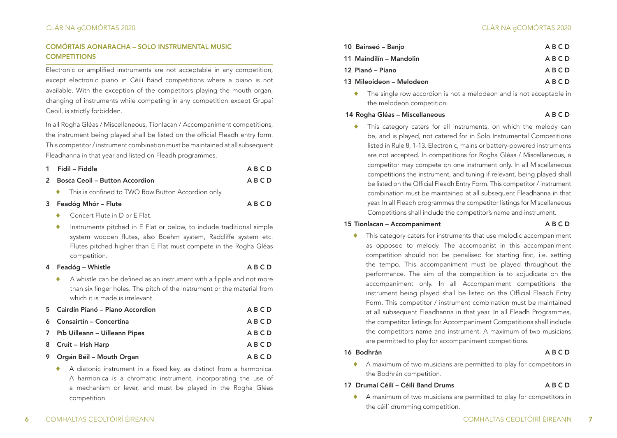# COMÓRTAIS AONARACHA – SOLO INSTRUMENTAL MUSIC **COMPETITIONS**

Electronic or amplified instruments are not acceptable in any competition, except electronic piano in Céilí Band competitions where a piano is not available. With the exception of the competitors playing the mouth organ, changing of instruments while competing in any competition except Grupaí Ceoil, is strictly forbidden.

In all Rogha Gléas / Miscellaneous, Tionlacan / Accompaniment competitions, the instrument being played shall be listed on the official Fleadh entry form. This competitor / instrument combination must be maintained at all subsequent Fleadhanna in that year and listed on Fleadh programmes.

|                                  | 1 Fidil – Fiddle                                     | ABCD |
|----------------------------------|------------------------------------------------------|------|
| 2 Bosca Ceoil – Button Accordion |                                                      | ABCD |
|                                  | ← This is confined to TWO Row Button Accordion only. |      |

# 3 Feadóg Mhór – Flute A B C D

- Concert Flute in D or E Flat.
- Instruments pitched in E Flat or below, to include traditional simple system wooden flutes, also Boehm system, Radcliffe system etc. Flutes pitched higher than E Flat must compete in the Rogha Gléas competition.

#### 4 Feadóg – Whistle **A B C D**

- 
- ♦ A whistle can be defined as an instrument with a fipple and not more than six finger holes. The pitch of the instrument or the material from which it is made is irrelevant.

| 5 Cairdín Pianó – Piano Accordion | <b>ABCD</b> |
|-----------------------------------|-------------|
| 6 Consairtín – Concertina         | ABCD        |
| 7 Píb Uilleann – Uilleann Pipes   | <b>ABCD</b> |
| 8 Cruit – Irish Harp              | ABCD        |
| 9 Orgán Béil – Mouth Organ        | ABCD        |

A diatonic instrument in a fixed key, as distinct from a harmonica. A harmonica is a chromatic instrument, incorporating the use of a mechanism or lever, and must be played in the Rogha Gléas competition.

| 10 Bainseó – Banjo       | ABCD |
|--------------------------|------|
| 11 Maindilín – Mandolin  | ABCD |
| 12 Pianó – Piano         | ABCD |
| 13 Mileoideon – Melodeon | ABCD |

The single row accordion is not a melodeon and is not acceptable in the melodeon competition.

#### 14 Rogha Gléas – Miscellaneous **A B C D**

This category caters for all instruments, on which the melody can be, and is played, not catered for in Solo Instrumental Competitions listed in Rule 8, 1-13. Electronic, mains or battery-powered instruments are not accepted. In competitions for Rogha Gléas / Miscellaneous, a competitor may compete on one instrument only. In all Miscellaneous competitions the instrument, and tuning if relevant, being played shall be listed on the Official Fleadh Entry Form. This competitor / instrument combination must be maintained at all subsequent Fleadhanna in that year. In all Fleadh programmes the competitor listings for Miscellaneous Competitions shall include the competitor's name and instrument.

#### 15 Tionlacan – Accompaniment A B C D

♦ This category caters for instruments that use melodic accompaniment as opposed to melody. The accompanist in this accompaniment competition should not be penalised for starting first, i.e. setting the tempo. This accompaniment must be played throughout the performance. The aim of the competition is to adjudicate on the accompaniment only. In all Accompaniment competitions the instrument being played shall be listed on the Official Fleadh Entry Form. This competitor / instrument combination must be maintained at all subsequent Fleadhanna in that year. In all Fleadh Programmes, the competitor listings for Accompaniment Competitions shall include the competitors name and instrument. A maximum of two musicians are permitted to play for accompaniment competitions.

# 16 Bodhrán **A B C D**

♦ A maximum of two musicians are permitted to play for competitors in the Bodhrán competition.

# 17 Drumaí Céilí – Céilí Band Drums A B C D

♦ A maximum of two musicians are permitted to play for competitors in the céilí drumming competition.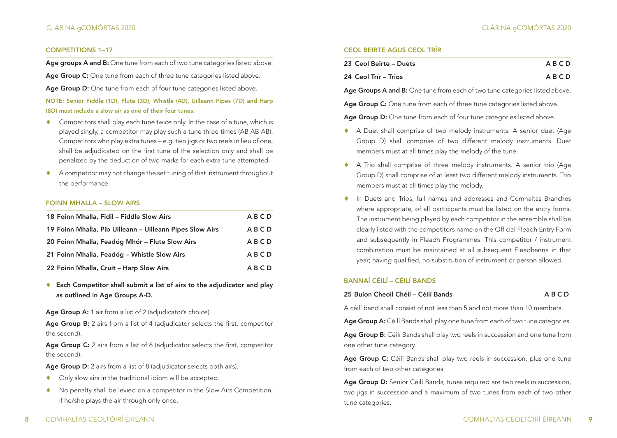### COMPETITIONS 1–17

Age groups A and B: One tune from each of two tune categories listed above.

Age Group C: One tune from each of three tune categories listed above.

Age Group D: One tune from each of four tune categories listed above.

NOTE: Senior Fiddle (1D), Flute (3D), Whistle (4D), Uilleann Pipes (7D) and Harp (8D) must include a slow air as one of their four tunes.

- Competitors shall play each tune twice only. In the case of a tune, which is played singly, a competitor may play such a tune three times (AB AB AB). Competitors who play extra tunes – e.g. two jigs or two reels in lieu of one, shall be adjudicated on the first tune of the selection only and shall be penalized by the deduction of two marks for each extra tune attempted.
- A competitor may not change the set tuning of that instrument throughout the performance.

#### FOINN MHALLA – SLOW AIRS

| 18 Foinn Mhalla, Fidil - Fiddle Slow Airs                | ABCD |
|----------------------------------------------------------|------|
| 19 Foinn Mhalla, Píb Uilleann – Uilleann Pipes Slow Airs | ABCD |
| 20 Foinn Mhalla, Feadóg Mhór – Flute Slow Airs           | ABCD |
| 21 Foinn Mhalla, Feadóg – Whistle Slow Airs              | ABCD |
| 22 Foinn Mhalla, Cruit - Harp Slow Airs                  | ABCD |

♦ Each Competitor shall submit a list of airs to the adjudicator and play as outlined in Age Groups A-D.

Age Group A: 1 air from a list of 2 (adjudicator's choice).

Age Group B: 2 airs from a list of 4 (adjudicator selects the first, competitor the second).

Age Group C: 2 airs from a list of 6 (adjudicator selects the first, competitor the second).

Age Group D: 2 airs from a list of 8 (adjudicator selects both airs).

- ♦ Only slow airs in the traditional idiom will be accepted.
- ♦ No penalty shall be levied on a competitor in the Slow Airs Competition, if he/she plays the air through only once.

# CEOL BEIRTE AGUS CEOL TRÍR

| 23 Ceol Beirte – Duets | ABCD |
|------------------------|------|
| 24 Ceol Trír – Trios   | ABCD |

Age Groups A and B: One tune from each of two tune categories listed above.

Age Group C: One tune from each of three tune categories listed above.

Age Group D: One tune from each of four tune categories listed above.

- ♦ A Duet shall comprise of two melody instruments. A senior duet (Age Group D) shall comprise of two different melody instruments. Duet members must at all times play the melody of the tune.
- ♦ A Trio shall comprise of three melody instruments. A senior trio (Age Group D) shall comprise of at least two different melody instruments. Trio members must at all times play the melody.
- ♦ In Duets and Trios, full names and addresses and Comhaltas Branches where appropriate, of all participants must be listed on the entry forms. The instrument being played by each competitor in the ensemble shall be clearly listed with the competitors name on the Official Fleadh Entry Form and subsequently in Fleadh Programmes. This competitor / instrument combination must be maintained at all subsequent Fleadhanna in that year; having qualified, no substitution of instrument or person allowed.

# BANNAÍ CÉILÍ – CÉILÍ BANDS

25 Buíon Cheoil Chéil – Céilí Bands A B C D

A céilí band shall consist of not less than 5 and not more than 10 members.

Age Group A: Céilí Bands shall play one tune from each of two tune categories.

Age Group B: Céilí Bands shall play two reels in succession and one tune from one other tune category.

Age Group C: Céilí Bands shall play two reels in succession, plus one tune from each of two other categories.

Age Group D: Senior Céilí Bands, tunes required are two reels in succession, two jigs in succession and a maximum of two tunes from each of two other tune categories.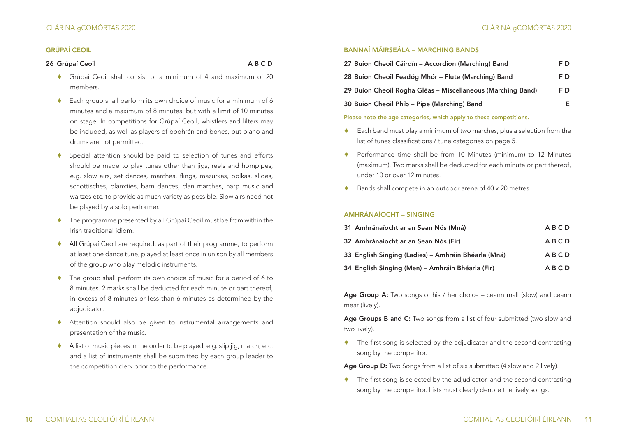#### GRÚPAÍ CEOIL

# 26 Grúpaí Ceoil **A B C D**

- ♦ Grúpaí Ceoil shall consist of a minimum of 4 and maximum of 20 members.
- Each group shall perform its own choice of music for a minimum of 6 minutes and a maximum of 8 minutes, but with a limit of 10 minutes on stage. In competitions for Grúpaí Ceoil, whistlers and lilters may be included, as well as players of bodhrán and bones, but piano and drums are not permitted.
- Special attention should be paid to selection of tunes and efforts should be made to play tunes other than jigs, reels and hornpipes, e.g. slow airs, set dances, marches, flings, mazurkas, polkas, slides, schottisches, planxties, barn dances, clan marches, harp music and waltzes etc. to provide as much variety as possible. Slow airs need not be played by a solo performer.
- ♦ The programme presented by all Grúpaí Ceoil must be from within the Irish traditional idiom.
- ♦ All Grúpaí Ceoil are required, as part of their programme, to perform at least one dance tune, played at least once in unison by all members of the group who play melodic instruments.
- ♦ The group shall perform its own choice of music for a period of 6 to 8 minutes. 2 marks shall be deducted for each minute or part thereof, in excess of 8 minutes or less than 6 minutes as determined by the adjudicator.
- ♦ Attention should also be given to instrumental arrangements and presentation of the music.
- ♦ A list of music pieces in the order to be played, e.g. slip jig, march, etc. and a list of instruments shall be submitted by each group leader to the competition clerk prior to the performance.

## BANNAÍ MÁIRSEÁLA – MARCHING BANDS

| 27 Buíon Cheoil Cáirdín – Accordion (Marching) Band         | F D  |
|-------------------------------------------------------------|------|
| 28 Buíon Cheoil Feadóg Mhór – Flute (Marching) Band         | F D. |
| 29 Buíon Cheoil Rogha Gléas – Miscellaneous (Marching Band) | F D  |
| 30 Buíon Cheoil Phíb – Pipe (Marching) Band                 | Е.   |

#### Please note the age categories, which apply to these competitions.

- ♦ Each band must play a minimum of two marches, plus a selection from the list of tunes classifications / tune categories on page 5.
- ♦ Performance time shall be from 10 Minutes (minimum) to 12 Minutes (maximum). Two marks shall be deducted for each minute or part thereof, under 10 or over 12 minutes.
- Bands shall compete in an outdoor arena of 40 x 20 metres.

# AMHRÁNAÍOCHT – SINGING

| 31 Amhránaíocht ar an Sean Nós (Mná)                | <b>ABCD</b> |
|-----------------------------------------------------|-------------|
| 32 Amhránaíocht ar an Sean Nós (Fir)                | ABCD        |
| 33 English Singing (Ladies) – Amhráin Bhéarla (Mná) | ABCD        |
| 34 English Singing (Men) – Amhráin Bhéarla (Fir)    | ABCD        |

Age Group A: Two songs of his / her choice – ceann mall (slow) and ceann mear (lively).

Age Groups B and C: Two songs from a list of four submitted (two slow and two lively).

♦ The first song is selected by the adjudicator and the second contrasting song by the competitor.

Age Group D: Two Songs from a list of six submitted (4 slow and 2 lively).

 $\bullet$  The first song is selected by the adjudicator, and the second contrasting song by the competitor. Lists must clearly denote the lively songs.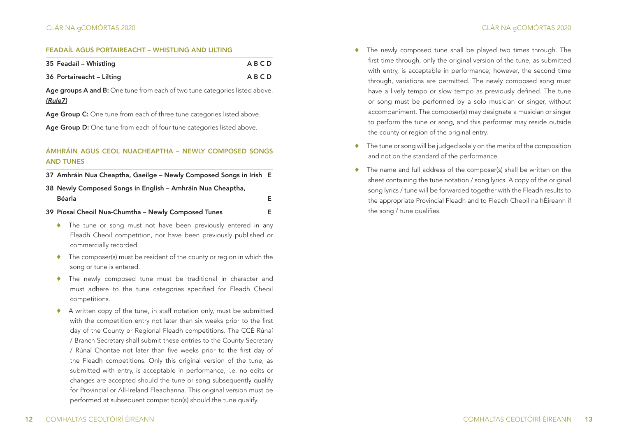### FEADAÍL AGUS PORTAIREACHT – WHISTLING AND LILTING

| 35 Feadaíl – Whistling    | ABCD |
|---------------------------|------|
| 36 Portaireacht – Lilting | ABCD |

Age groups A and B: One tune from each of two tune categories listed above. *(Rule7)*

Age Group C: One tune from each of three tune categories listed above.

Age Group D: One tune from each of four tune categories listed above.

# ÁMHRÁIN AGUS CEOL NUACHEAPTHA – NEWLY COMPOSED SONGS AND TUNES

37 Amhráin Nua Cheaptha, Gaeilge – Newly Composed Songs in Irish E

| 38 Newly Composed Songs in English – Amhráin Nua Cheaptha, |  |
|------------------------------------------------------------|--|
| Béarla                                                     |  |

- 39 Píosaí Cheoil Nua-Chumtha Newly Composed Tunes E
	- ♦ The tune or song must not have been previously entered in any Fleadh Cheoil competition, nor have been previously published or commercially recorded.
	- ♦ The composer(s) must be resident of the county or region in which the song or tune is entered.
	- ♦ The newly composed tune must be traditional in character and must adhere to the tune categories specified for Fleadh Cheoil competitions.
	- ♦ A written copy of the tune, in staff notation only, must be submitted with the competition entry not later than six weeks prior to the first day of the County or Regional Fleadh competitions. The CCÉ Rúnaí / Branch Secretary shall submit these entries to the County Secretary / Rúnaí Chontae not later than five weeks prior to the first day of the Fleadh competitions. Only this original version of the tune, as submitted with entry, is acceptable in performance, i.e. no edits or changes are accepted should the tune or song subsequently qualify for Provincial or All-Ireland Fleadhanna. This original version must be performed at subsequent competition(s) should the tune qualify.
- ♦ The newly composed tune shall be played two times through. The first time through, only the original version of the tune, as submitted with entry, is acceptable in performance; however, the second time through, variations are permitted. The newly composed song must have a lively tempo or slow tempo as previously defined. The tune or song must be performed by a solo musician or singer, without accompaniment. The composer(s) may designate a musician or singer to perform the tune or song, and this performer may reside outside the county or region of the original entry.
- ♦ The tune or song will be judged solely on the merits of the composition and not on the standard of the performance.
- The name and full address of the composer(s) shall be written on the sheet containing the tune notation / song lyrics. A copy of the original song lyrics / tune will be forwarded together with the Fleadh results to the appropriate Provincial Fleadh and to Fleadh Cheoil na hÉireann if the song / tune qualifies.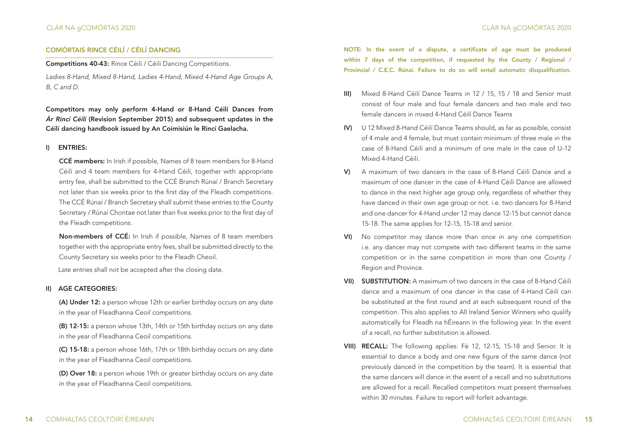# COMÓRTAIS RINCE CÉILÍ / CÉILÍ DANCING

Competitions 40-43: Rince Céilí / Céilí Dancing Competitions.

*Ladies 8-Hand, Mixed 8-Hand, Ladies 4-Hand, Mixed 4-Hand Age Groups A, B, C and D.*

Competitors may only perform 4-Hand or 8-Hand Céilí Dances from *Ár Rincí Céilí* (Revision September 2015) and subsequent updates in the Céilí dancing handbook issued by An Coimisiún le Rincí Gaelacha.

### I) ENTRIES:

CCÉ members: In Irish if possible, Names of 8 team members for 8-Hand Céilí and 4 team members for 4-Hand Céilí, together with appropriate entry fee, shall be submitted to the CCÉ Branch Rúnaí / Branch Secretary not later than six weeks prior to the first day of the Fleadh competitions. The CCÉ Rúnaí / Branch Secretary shall submit these entries to the County Secretary / Rúnaí Chontae not later than five weeks prior to the first day of the Fleadh competitions.

Non-members of CCÉ: In Irish if possible, Names of 8 team members together with the appropriate entry fees, shall be submitted directly to the County Secretary six weeks prior to the Fleadh Cheoil.

Late entries shall not be accepted after the closing date.

#### II) AGE CATEGORIES:

(A) Under 12: a person whose 12th or earlier birthday occurs on any date in the year of Fleadhanna Ceoil competitions.

(B) 12-15: a person whose 13th, 14th or 15th birthday occurs on any date in the year of Fleadhanna Ceoil competitions.

(C) 15-18: a person whose 16th, 17th or 18th birthday occurs on any date in the year of Fleadhanna Ceoil competitions.

(D) Over 18: a person whose 19th or greater birthday occurs on any date in the year of Fleadhanna Ceoil competitions.

NOTE: In the event of a dispute, a certificate of age must be produced within 7 days of the competition, if requested by the County / Regional / Provincial / C.E.C. Rúnaí. Failure to do so will entail automatic disqualification.

- III) Mixed 8-Hand Céilí Dance Teams in 12 / 15, 15 / 18 and Senior must consist of four male and four female dancers and two male and two female dancers in mixed 4-Hand Céilí Dance Teams
- IV) U 12 Mixed 8-Hand Céilí Dance Teams should, as far as possible, consist of 4 male and 4 female, but must contain minimum of three male in the case of 8-Hand Céilí and a minimum of one male in the case of U-12 Mixed 4-Hand Céilí.
- V) A maximum of two dancers in the case of 8-Hand Céilí Dance and a maximum of one dancer in the case of 4-Hand Céilí Dance are allowed to dance in the next higher age group only, regardless of whether they have danced in their own age group or not. i.e. two dancers for 8-Hand and one dancer for 4-Hand under 12 may dance 12-15 but cannot dance 15-18. The same applies for 12-15, 15-18 and senior.
- VI) No competitor may dance more than once in any one competition i.e. any dancer may not compete with two different teams in the same competition or in the same competition in more than one County / Region and Province.
- VII) SUBSTITUTION: A maximum of two dancers in the case of 8-Hand Céilí dance and a maximum of one dancer in the case of 4-Hand Céilí can be substituted at the first round and at each subsequent round of the competition. This also applies to All Ireland Senior Winners who qualify automatically for Fleadh na hÉireann in the following year. In the event of a recall, no further substitution is allowed.
- VIII) RECALL: The following applies: Fé 12, 12-15, 15-18 and Senior. It is essential to dance a body and one new figure of the same dance (not previously danced in the competition by the team). It is essential that the same dancers will dance in the event of a recall and no substitutions are allowed for a recall. Recalled competitors must present themselves within 30 minutes. Failure to report will forfeit advantage.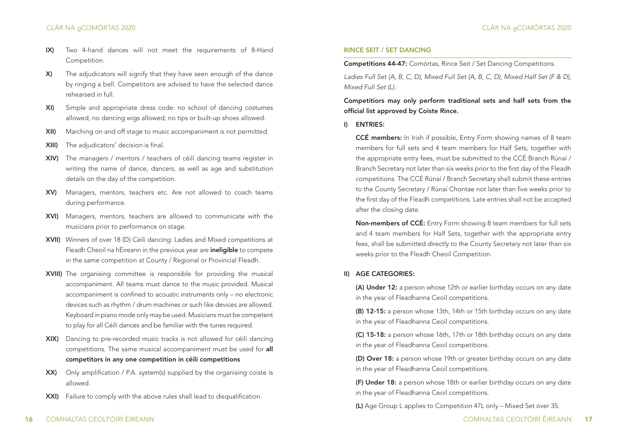- IX) Two 4-hand dances will not meet the requirements of 8-Hand Competition.
- X) The adjudicators will signify that they have seen enough of the dance by ringing a bell. Competitors are advised to have the selected dance rehearsed in full.
- XI) Simple and appropriate dress code: no school of dancing costumes allowed; no dancing wigs allowed; no tips or built-up shoes allowed.
- XII) Marching on and off stage to music accompaniment is not permitted.
- XIII) The adjudicators' decision is final.
- XIV) The managers / mentors / teachers of céilí dancing teams register in writing the name of dance, dancers, as well as age and substitution details on the day of the competition.
- XV) Managers, mentors, teachers etc. Are not allowed to coach teams during performance.
- XVI) Managers, mentors, teachers are allowed to communicate with the musicians prior to performance on stage.
- XVII) Winners of over 18 (D) Céilí dancing: Ladies and Mixed competitions at Fleadh Cheoil na hÉireann in the previous year are **ineligible** to compete in the same competition at County / Regional or Provincial Fleadh.
- XVIII) The organising committee is responsible for providing the musical accompaniment. All teams must dance to the music provided. Musical accompaniment is confined to acoustic instruments only – no electronic devices such as rhythm / drum machines or such like devices are allowed. Keyboard in piano mode only may be used. Musicians must be competent to play for all Céilí dances and be familiar with the tunes required.
- XIX) Dancing to pre-recorded music tracks is not allowed for céilí dancing competitions. The same musical accompaniment must be used for all competitors in any one competition in céilí competitions
- XX) Only amplification / P.A. system(s) supplied by the organising coiste is allowed.
- XXI) Failure to comply with the above rules shall lead to disqualification.

#### RINCE SEIT / SET DANCING

Competitions 44-47: Comórtas, Rince Seit / Set Dancing Competitions.

*Ladies Full Set (A, B, C, D), Mixed Full Set (A, B, C, D), Mixed Half Set (F & D), Mixed Full Set (L).*

Competitiors may only perform traditional sets and half sets from the official list approved by Coiste Rince.

#### I) ENTRIES:

CCÉ members: In Irish if possible, Entry Form showing names of 8 team members for full sets and 4 team members for Half Sets, together with the appropriate entry fees, must be submitted to the CCÉ Branch Rúnaí / Branch Secretary not later than six weeks prior to the first day of the Fleadh competitions. The CCÉ Rúnaí / Branch Secretary shall submit these entries to the County Secretary / Rúnaí Chontae not later than five weeks prior to the first day of the Fleadh competitions. Late entries shall not be accepted after the closing date.

Non-members of CCÉ: Entry Form showing 8 team members for full sets and 4 team members for Half Sets, together with the appropriate entry fees, shall be submitted directly to the County Secretary not later than six weeks prior to the Fleadh Cheoil Competition.

#### II) AGE CATEGORIES:

(A) Under 12: a person whose 12th or earlier birthday occurs on any date in the year of Fleadhanna Ceoil competitions.

(B) 12-15: a person whose 13th, 14th or 15th birthday occurs on any date in the year of Fleadhanna Ceoil competitions.

(C) 15-18: a person whose 16th, 17th or 18th birthday occurs on any date in the year of Fleadhanna Ceoil competitions.

(D) Over 18: a person whose 19th or greater birthday occurs on any date in the year of Fleadhanna Ceoil competitions.

(F) Under 18: a person whose 18th or earlier birthday occurs on any date in the year of Fleadhanna Ceoil competitions.

(L) Age Group L applies to Competition 47L only – Mixed Set over 35.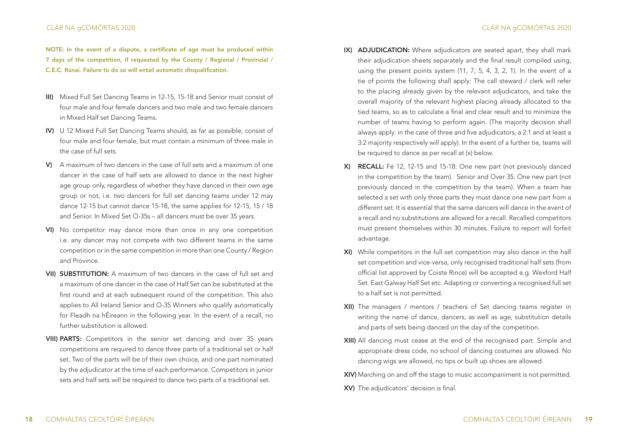# CLÁR NA gCOMÓRTAS 2020 CLÁR NA gCOMÓRTAS 2020

NOTE: In the event of a dispute, a certificate of age must be produced within 7 days of the competition, if requested by the County / Regional / Provincial / C.E.C. Rúnaí. Failure to do so will entail automatic disqualification.

- III) Mixed Full Set Dancing Teams in 12-15, 15-18 and Senior must consist of four male and four female dancers and two male and two female dancers in Mixed Half set Dancing Teams.
- IV) U 12 Mixed Full Set Dancing Teams should, as far as possible, consist of four male and four female, but must contain a minimum of three male in the case of full sets.
- V) A maximum of two dancers in the case of full sets and a maximum of one dancer in the case of half sets are allowed to dance in the next higher age group only, regardless of whether they have danced in their own age group or not, i.e. two dancers for full set dancing teams under 12 may dance 12-15 but cannot dance 15-18, the same applies for 12-15, 15 / 18 and Senior. In Mixed Set O-35s – all dancers must be over 35 years.
- VI) No competitor may dance more than once in any one competition i.e. any dancer may not compete with two different teams in the same competition or in the same competition in more than one County / Region and Province.
- VII) SUBSTITUTION: A maximum of two dancers in the case of full set and a maximum of one dancer in the case of Half Set can be substituted at the first round and at each subsequent round of the competition. This also applies to All Ireland Senior and O-35 Winners who qualify automatically for Fleadh na hÉireann in the following year. In the event of a recall, no further substitution is allowed.
- VIII) PARTS: Competitors in the senior set dancing and over 35 years competitions are required to dance three parts of a traditional set or half set. Two of the parts will be of their own choice, and one part nominated by the adjudicator at the time of each performance. Competitors in junior sets and half sets will be required to dance two parts of a traditional set.
- IX) ADJUDICATION: Where adjudicators are seated apart, they shall mark their adjudication sheets separately and the final result compiled using, using the present points system (11, 7, 5, 4, 3, 2, 1). In the event of a tie of points the following shall apply: The call steward / clerk will refer to the placing already given by the relevant adjudicators, and take the overall majority of the relevant highest placing already allocated to the tied teams, so as to calculate a final and clear result and to minimize the number of teams having to perform again. (The majority decision shall always apply: in the case of three and five adjudicators, a 2:1 and at least a 3:2 majority respectively will apply). In the event of a further tie, teams will be required to dance as per recall at (x) below.
- X) RECALL: Fé 12, 12-15 and 15-18: One new part (not previously danced in the competition by the team). Senior and Over 35: One new part (not previously danced in the competition by the team). When a team has selected a set with only three parts they must dance one new part from a different set. It is essential that the same dancers will dance in the event of a recall and no substitutions are allowed for a recall. Recalled competitors must present themselves within 30 minutes. Failure to report will forfeit advantage.
- XI) While competitors in the full set competition may also dance in the half set competition and vice-versa, only recognised traditional half sets (from official list approved by Coiste Rince) will be accepted e.g. Wexford Half Set. East Galway Half Set etc. Adapting or converting a recognised full set to a half set is not permitted.
- XII) The managers / mentors / teachers of Set dancing teams register in writing the name of dance, dancers, as well as age, substitution details and parts of sets being danced on the day of the competition.
- XIII) All dancing must cease at the end of the recognised part. Simple and appropriate dress code, no school of dancing costumes are allowed. No dancing wigs are allowed, no tips or built up shoes are allowed.
- XIV) Marching on and off the stage to music accompaniment is not permitted.
- XV) The adjudicators' decision is final.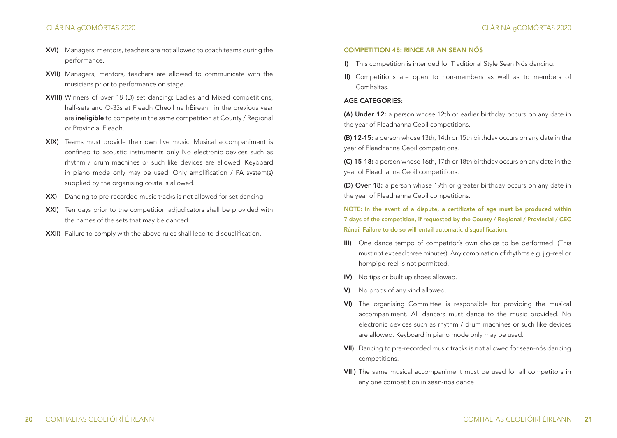# CLÁR NA gCOMÓRTAS 2020

- XVI) Managers, mentors, teachers are not allowed to coach teams during the performance.
- XVII) Managers, mentors, teachers are allowed to communicate with the musicians prior to performance on stage.
- XVIII) Winners of over 18 (D) set dancing: Ladies and Mixed competitions, half-sets and O-35s at Fleadh Cheoil na hÉireann in the previous year are ineligible to compete in the same competition at County / Regional or Provincial Fleadh.
- XIX) Teams must provide their own live music. Musical accompaniment is confined to acoustic instruments only No electronic devices such as rhythm / drum machines or such like devices are allowed. Keyboard in piano mode only may be used. Only amplification / PA system(s) supplied by the organising coiste is allowed.
- XX) Dancing to pre-recorded music tracks is not allowed for set dancing
- XXI) Ten days prior to the competition adjudicators shall be provided with the names of the sets that may be danced.
- XXII) Failure to comply with the above rules shall lead to disqualification.

#### COMPETITION 48: RINCE AR AN SEAN NÓS

- I) This competition is intended for Traditional Style Sean Nós dancing.
- II) Competitions are open to non-members as well as to members of Comhaltas.

#### AGE CATEGORIES:

(A) Under 12: a person whose 12th or earlier birthday occurs on any date in the year of Fleadhanna Ceoil competitions.

(B) 12-15: a person whose 13th, 14th or 15th birthday occurs on any date in the year of Fleadhanna Ceoil competitions.

(C) 15-18: a person whose 16th, 17th or 18th birthday occurs on any date in the year of Fleadhanna Ceoil competitions.

(D) Over 18: a person whose 19th or greater birthday occurs on any date in the year of Fleadhanna Ceoil competitions.

NOTE: In the event of a dispute, a certificate of age must be produced within 7 days of the competition, if requested by the County / Regional / Provincial / CEC Rúnaí. Failure to do so will entail automatic disqualification.

- III) One dance tempo of competitor's own choice to be performed. (This must not exceed three minutes). Any combination of rhythms e.g. jig–reel or hornpipe-reel is not permitted.
- IV) No tips or built up shoes allowed.
- V) No props of any kind allowed.
- VI) The organising Committee is responsible for providing the musical accompaniment. All dancers must dance to the music provided. No electronic devices such as rhythm / drum machines or such like devices are allowed. Keyboard in piano mode only may be used.
- VII) Dancing to pre-recorded music tracks is not allowed for sean-nós dancing competitions.
- VIII) The same musical accompaniment must be used for all competitors in any one competition in sean-nós dance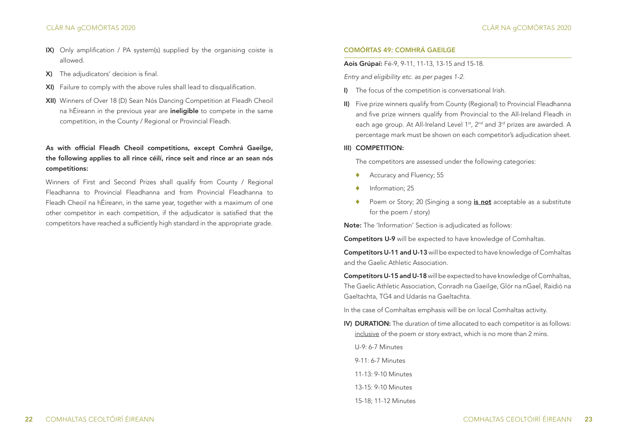- IX) Only amplification / PA system(s) supplied by the organising coiste is allowed.
- X) The adjudicators' decision is final.
- XI) Failure to comply with the above rules shall lead to disqualification.
- XII) Winners of Over 18 (D) Sean Nós Dancing Competition at Fleadh Cheoil na hÉireann in the previous year are **ineligible** to compete in the same competition, in the County / Regional or Provincial Fleadh.

# As with official Fleadh Cheoil competitions, except Comhrá Gaeilge, the following applies to all rince céilí, rince seit and rince ar an sean nós competitions:

Winners of First and Second Prizes shall qualify from County / Regional Fleadhanna to Provincial Fleadhanna and from Provincial Fleadhanna to Fleadh Cheoil na hÉireann, in the same year, together with a maximum of one other competitor in each competition, if the adjudicator is satisfied that the competitors have reached a sufficiently high standard in the appropriate grade.

# COMÓRTAS 49: COMHRÁ GAEILGE

#### Aois Grúpaí: Fé-9, 9-11, 11-13, 13-15 and 15-18.

*Entry and eligibility etc. as per pages 1-2.*

- I) The focus of the competition is conversational Irish.
- II) Five prize winners qualify from County (Regional) to Provincial Fleadhanna and five prize winners qualify from Provincial to the All-Ireland Fleadh in each age group. At All-Ireland Level 1<sup>st</sup>, 2<sup>nd</sup> and 3<sup>rd</sup> prizes are awarded. A percentage mark must be shown on each competitor's adjudication sheet.

#### III) COMPETITION:

The competitors are assessed under the following categories:

- ♦ Accuracy and Fluency; 55
- ♦ Information; 25
- ◆ Poem or Story: 20 (Singing a song is not acceptable as a substitute for the poem / story)

Note: The 'Information' Section is adjudicated as follows:

Competitors U-9 will be expected to have knowledge of Comhaltas.

Competitors U-11 and U-13 will be expected to have knowledge of Comhaltas and the Gaelic Athletic Association.

Competitors U-15 and U-18 will be expected to have knowledge of Comhaltas, The Gaelic Athletic Association, Conradh na Gaeilge, Glór na nGael, Raidió na Gaeltachta, TG4 and Udarás na Gaeltachta.

In the case of Comhaltas emphasis will be on local Comhaltas activity.

IV) DURATION: The duration of time allocated to each competitor is as follows: inclusive of the poem or story extract, which is no more than 2 mins.

U-9: 6-7 Minutes

 $9-11: 6-7$  Minutes

11-13: 9-10 Minutes

- 13-15: 9-10 Minutes
- 15-18; 11-12 Minutes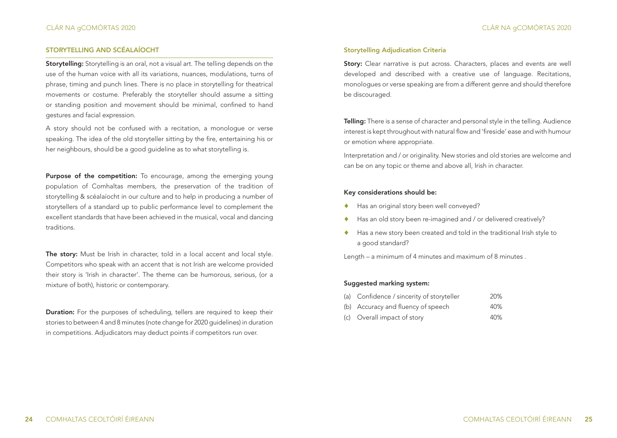# STORYTELLING AND SCÉALAÍOCHT

Storytelling: Storytelling is an oral, not a visual art. The telling depends on the use of the human voice with all its variations, nuances, modulations, turns of phrase, timing and punch lines. There is no place in storytelling for theatrical movements or costume. Preferably the storyteller should assume a sitting or standing position and movement should be minimal, confined to hand gestures and facial expression.

A story should not be confused with a recitation, a monologue or verse speaking. The idea of the old storyteller sitting by the fire, entertaining his or her neighbours, should be a good guideline as to what storytelling is.

**Purpose of the competition:** To encourage, among the emerging young population of Comhaltas members, the preservation of the tradition of storytelling & scéalaíocht in our culture and to help in producing a number of storytellers of a standard up to public performance level to complement the excellent standards that have been achieved in the musical, vocal and dancing traditions.

The story: Must be Irish in character, told in a local accent and local style. Competitors who speak with an accent that is not Irish are welcome provided their story is 'Irish in character'. The theme can be humorous, serious, (or a mixture of both), historic or contemporary.

Duration: For the purposes of scheduling, tellers are required to keep their stories to between 4 and 8 minutes (note change for 2020 guidelines) in duration in competitions. Adjudicators may deduct points if competitors run over.

#### Storytelling Adjudication Criteria

Story: Clear narrative is put across. Characters, places and events are well developed and described with a creative use of language. Recitations, monologues or verse speaking are from a different genre and should therefore be discouraged.

Telling: There is a sense of character and personal style in the telling. Audience interest is kept throughout with natural flow and 'fireside' ease and with humour or emotion where appropriate.

Interpretation and / or originality. New stories and old stories are welcome and can be on any topic or theme and above all, Irish in character.

#### Key considerations should be:

- ◆ Has an original story been well conveyed?
- Has an old story been re-imagined and / or delivered creatively?
- Has a new story been created and told in the traditional Irish style to a good standard?

Length – a minimum of 4 minutes and maximum of 8 minutes .

#### Suggested marking system:

|  |  | (a) Confidence / sincerity of storyteller | 20% |
|--|--|-------------------------------------------|-----|
|--|--|-------------------------------------------|-----|

- (b) Accuracy and fluency of speech 40%
- (c) Overall impact of story 40%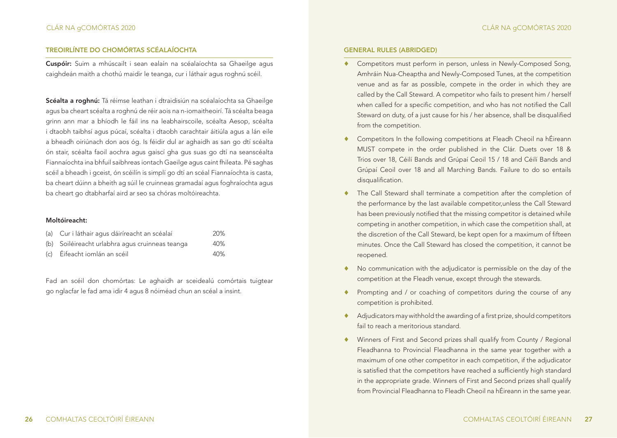# TREOIRLÍNTE DO CHOMÓRTAS SCÉALAÍOCHTA

Cuspóir: Suim a mhúscailt i sean ealaín na scéalaíochta sa Ghaeilge agus caighdeán maith a chothú maidir le teanga, cur i láthair agus roghnú scéil.

Scéalta a roghnú: Tá réimse leathan i dtraidisiún na scéalaíochta sa Ghaeilge agus ba cheart scéalta a roghnú de réir aois na n-iomaitheoirí. Tá scéalta beaga grinn ann mar a bhíodh le fáil ins na leabhairscoile, scéalta Aesop, scéalta i dtaobh taibhsí agus púcaí, scéalta i dtaobh carachtair áitiúla agus a lán eile a bheadh oiriúnach don aos óg. Is féidir dul ar aghaidh as san go dtí scéalta ón stair, scéalta faoil aochra agus gaiscí gha gus suas go dtí na seanscéalta Fiannaíochta ina bhfuil saibhreas iontach Gaeilge agus caint fhileata. Pé saghas scéil a bheadh i gceist, ón scéilín is simplí go dtí an scéal Fiannaíochta is casta, ba cheart dúinn a bheith ag súil le cruinneas gramadaí agus foghraíochta agus ba cheart go dtabharfaí aird ar seo sa chóras moltóireachta.

#### Moltóireacht:

| (a) Cur i láthair agus dáiríreacht an scéalaí   | 20% |
|-------------------------------------------------|-----|
| (b) Soiléireacht urlabhra agus cruinneas teanga | 40% |
| (c) Éifeacht iomlán an scéil                    | 40% |

Fad an scéil don chomórtas: Le aghaidh ar sceidealú comórtais tuigtear go nglacfar le fad ama idir 4 agus 8 nóiméad chun an scéal a insint.

#### GENERAL RULES (ABRIDGED)

- Competitors must perform in person, unless in Newly-Composed Song, Amhráin Nua-Cheaptha and Newly-Composed Tunes, at the competition venue and as far as possible, compete in the order in which they are called by the Call Steward. A competitor who fails to present him / herself when called for a specific competition, and who has not notified the Call Steward on duty, of a just cause for his / her absence, shall be disqualified from the competition.
- Competitors In the following competitions at Fleadh Cheoil na hÉireann MUST compete in the order published in the Clár. Duets over 18 & Trios over 18, Céilí Bands and Grúpaí Ceoil 15 / 18 and Céilí Bands and Grúpaí Ceoil over 18 and all Marching Bands. Failure to do so entails disqualification.
- The Call Steward shall terminate a competition after the completion of the performance by the last available competitor,unless the Call Steward has been previously notified that the missing competitor is detained while competing in another competition, in which case the competition shall, at the discretion of the Call Steward, be kept open for a maximum of fifteen minutes. Once the Call Steward has closed the competition, it cannot be reopened.
- ♦ No communication with the adjudicator is permissible on the day of the competition at the Fleadh venue, except through the stewards.
- Prompting and / or coaching of competitors during the course of any competition is prohibited.
- ♦ Adjudicators may withhold the awarding of a first prize, should competitors fail to reach a meritorious standard.
- ♦ Winners of First and Second prizes shall qualify from County / Regional Fleadhanna to Provincial Fleadhanna in the same year together with a maximum of one other competitor in each competition, if the adjudicator is satisfied that the competitors have reached a sufficiently high standard in the appropriate grade. Winners of First and Second prizes shall qualify from Provincial Fleadhanna to Fleadh Cheoil na hÉireann in the same year.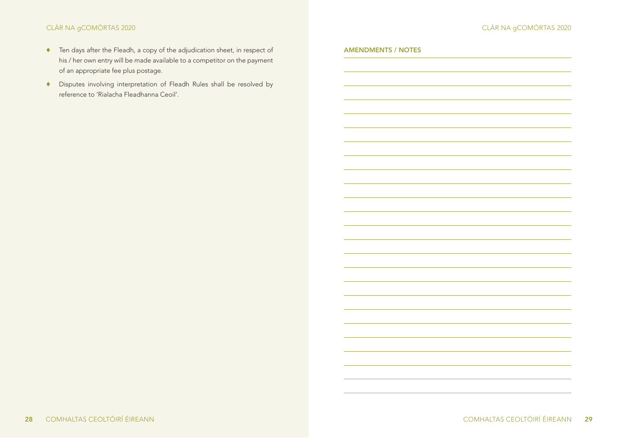AMENDMENTS / NOTES

- ♦ Ten days after the Fleadh, a copy of the adjudication sheet, in respect of his / her own entry will be made available to a competitor on the payment of an appropriate fee plus postage.
- ♦ Disputes involving interpretation of Fleadh Rules shall be resolved by reference to 'Rialacha Fleadhanna Ceoil'.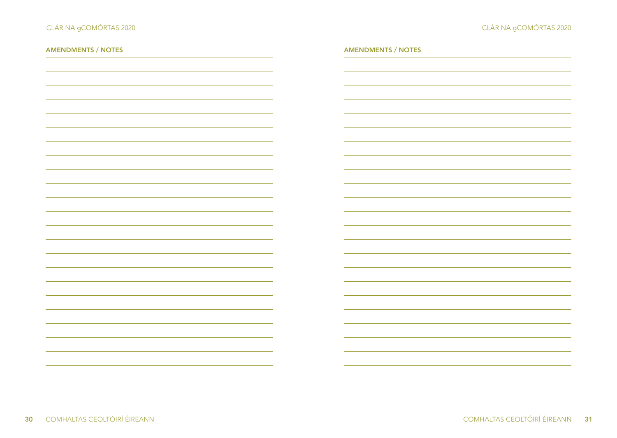| <b>AMENDMENTS / NOTES</b> | <b>AMENDMENTS / NOTES</b> |
|---------------------------|---------------------------|
|                           |                           |
|                           |                           |
|                           |                           |
|                           |                           |
|                           |                           |
|                           |                           |
|                           |                           |
|                           |                           |
|                           |                           |
|                           |                           |
|                           |                           |
|                           |                           |
|                           |                           |
|                           |                           |
|                           |                           |
|                           |                           |
|                           |                           |
|                           |                           |
|                           |                           |
|                           |                           |
|                           |                           |